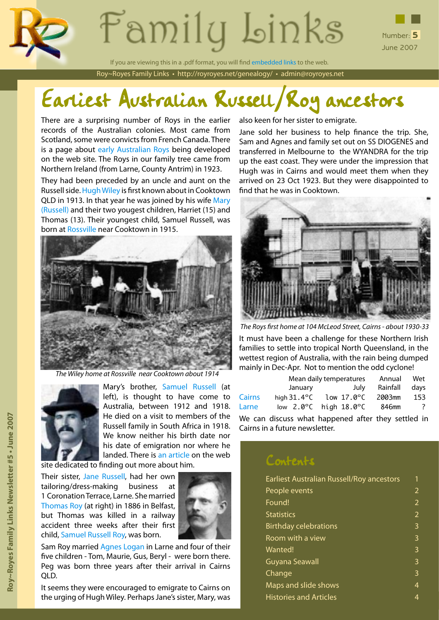



June 2007

Roy~Royes Family Links • http://royroyes.net/genealogy/ • admin@royroyes.net If you are viewing this in a .pdf format, you will find embedded links to the web.

# Earliest Australian Russell/Roy ancestors

There are a surprising number of Roys in the earlier records of the Australian colonies. Most came from Scotland, some were convicts from French Canada. There is a page about [early Australian Roys](http://royroyes.net/genealogy/showmedia.php?mediaID=673) being developed on the web site. The Roys in our family tree came from Northern Ireland (from Larne, County Antrim) in 1923.

They had been preceded by an uncle and aunt on the Russell side. [Hugh Wiley](http://royroyes.net/genealogy/getperson.php?personID=I1312&tree=rr_tree) is first known about in Cooktown QLD in 1913. In that year he was joined by his wife [Mary](http://royroyes.net/genealogy/getperson.php?personID=I1102&tree=rr_tree) [\(Russell\)](http://royroyes.net/genealogy/getperson.php?personID=I1102&tree=rr_tree) and their two yougest children, Harriet (15) and Thomas (13). Their youngest child, Samuel Russell, was born at [Rossville](http://www.cook.qld.gov.au/community/rossville.shtml) near Cooktown in 1915.



*The Wiley home at Rossville near Cooktown about 1914*



Mary's brother, [Samuel Russell](http://royroyes.net/genealogy/getperson.php?personID=I1108&tree=rr_tree) (at left), is thought to have come to Australia, between 1912 and 1918. He died on a visit to members of the Russell family in South Africa in 1918. We know neither his birth date nor his date of emigration nor where he landed. There is [an article](http://royroyes.net/genealogy/showmedia.php?mediaID=617&medialinkID=812) on the web

site dedicated to finding out more about him.

Their sister, [Jane Russell,](http://royroyes.net/genealogy/getperson.php?personID=I1093&tree=rr_tree) had her own tailoring/dress-making business at 1 Coronation Terrace, Larne. She married [Thomas Roy](http://royroyes.net/genealogy/getperson.php?personID=I856&tree=rr_tree) (at right) in 1886 in Belfast, but Thomas was killed in a railway accident three weeks after their first child, [Samuel Russell Roy](http://royroyes.net/genealogy/getperson.php?personID=I853&tree=rr_tree), was born.



Sam Roy married [Agnes Logan](http://royroyes.net/genealogy/getperson.php?personID=I605&tree=rr_tree) in Larne and four of their five children - Tom, Maurie, Gus, Beryl - were born there. Peg was born three years after their arrival in Cairns QLD.

It seems they were encouraged to emigrate to Cairns on the urging of Hugh Wiley. Perhaps Jane's sister, Mary, was

also keen for her sister to emigrate.

Jane sold her business to help finance the trip. She, Sam and Agnes and family set out on SS DIOGENES and transferred in Melbourne to the WYANDRA for the trip up the east coast. They were under the impression that Hugh was in Cairns and would meet them when they arrived on 23 Oct 1923. But they were disappointed to find that he was in Cooktown.



*The Roys first home at 104 McLeod Street, Cairns - about 1930-33*

It must have been a challenge for these Northern Irish families to settle into tropical North Queensland, in the wettest region of Australia, with the rain being dumped mainly in Dec-Apr. Not to mention the odd cyclone!

|               | Mean daily temperatures                   |            |  |      |          | Wet |                |
|---------------|-------------------------------------------|------------|--|------|----------|-----|----------------|
|               | January                                   |            |  | July | Rainfall |     | days           |
| <b>Cairns</b> | hiah $31.4^{\circ}$ C                     | low 17.0°C |  |      | 2003mm   |     | 153            |
| Larne         | low $2.0^{\circ}$ C high $18.0^{\circ}$ C |            |  |      | 846mm    |     | $\overline{?}$ |
|               |                                           |            |  |      |          |     |                |

We can discuss what happened after they settled in Cairns in a future newsletter.

### Contents

| Earliest Australian Russell/Roy ancestors |   |  |
|-------------------------------------------|---|--|
| People events                             | 2 |  |
| Found!                                    | 2 |  |
| <b>Statistics</b>                         | 2 |  |
| <b>Birthday celebrations</b>              | 3 |  |
| Room with a view                          | 3 |  |
| Wanted!                                   | 3 |  |
| Guyana Seawall                            | 3 |  |
| Change                                    | 3 |  |
| Maps and slide shows                      | 4 |  |
| <b>Histories and Articles</b>             | 4 |  |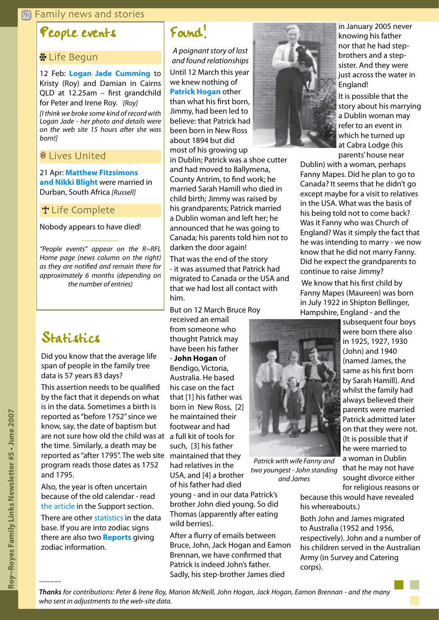#### <span id="page-1-0"></span>**图 Family news and stories**

### People events

#### **\* Life Begun**

12 Feb: **<Logan Jade Cumming>** to Kristy (Roy) and Damian in Cairns QLD at 12.25am – first grandchild for Peter and Irene Roy. *[Roy] [I think we broke some kind of record with Logan Jade - her photo and details were on the web site 15 hours after she was* 

*born!]*

#### **8 Lives United**

21 Apr: **[Matthew Fitzsimons](http://royroyes.net/genealogy/familygroup.php?familyID=F508&tree=rr_tree&tngprint=1)  [and Nikki Blight](http://royroyes.net/genealogy/familygroup.php?familyID=F508&tree=rr_tree&tngprint=1)** were married in Durban, South Africa *[Russell]*

#### **T** Life Complete

Nobody appears to have died!

*"People events" appear on the R~RFL Home page (news column on the right) as they are notified and remain there for approximately 6 months (depending on the number of entries)*

*\_\_\_\_\_\_\_\_\_\_*

## Statistics

Did you know that the average life span of people in the family tree data is 57 years 83 days?

are not sure how old the child was at a full kit of tools for This assertion needs to be qualified by the fact that it depends on what is in the data. Sometimes a birth is reported as "before 1752" since we know, say, the date of baptism but the time. Similarly, a death may be reported as "after 1795". The web site program reads those dates as 1752 and 1795.

Also, the year is often uncertain because of the old calendar - read [the article](http://royroyes.net/genealogy/spt/spt_dates.php) in the Support section.

There are other [statistics](http://royroyes.net/genealogy/browsetrees.php) in the data base. If you are into zodiac signs there are also two **[Reports](http://royroyes.net/genealogy/reports.php)** giving zodiac information.

### Found!

*A poignant story of lost and found relationships* Until 12 March this year we knew nothing of **[Patrick Hogan](http://royroyes.net/genealogy/getperson.php?personID=I7560&tree=rr_tree)** other than what his first born, Jimmy, had been led to believe: that Patrick had been born in New Ross about 1894 but did most of his growing up

in Dublin; Patrick was a shoe cutter and had moved to Ballymena, County Antrim, to find work; he married Sarah Hamill who died in child birth; Jimmy was raised by his grandparents; Patrick married a Dublin woman and left her; he announced that he was going to Canada; his parents told him not to darken the door again!

That was the end of the story - it was assumed that Patrick had migrated to Canada or the USA and that we had lost all contact with him.

But on 12 March Bruce Roy

received an email from someone who thought Patrick may have been his father - **John Hogan** of Bendigo, Victoria, Australia. He based his case on the fact that [1] his father was born in New Ross, [2] he maintained their footwear and had such, [3] his father maintained that they had relatives in the USA, and [4] a brother of his father had died

young - and in our data Patrick's brother John died young. So did Thomas (apparently after eating wild berries).

After a flurry of emails between Bruce, John, Jack Hogan and Eamon Brennan, we have confirmed that Patrick is indeed John's father. Sadly, his step-brother James died



in January 2005 never knowing his father nor that he had stepbrothers and a stepsister. And they were just across the water in England!

It is possible that the story about his marrying a Dublin woman may refer to an event in which he turned up at Cabra Lodge (his parents' house near

Dublin) with a woman, perhaps Fanny Mapes. Did he plan to go to Canada? It seems that he didn't go except maybe for a visit to relatives in the USA. What was the basis of his being told not to come back? Was it Fanny who was Church of England? Was it simply the fact that he was intending to marry - we now know that he did not marry Fanny. Did he expect the grandparents to continue to raise Jimmy?

 We know that his first child by Fanny Mapes (Maureen) was born in July 1922 in Shipton Bellinger, Hampshire, England - and the



*Patrick with wife Fanny and two youngest - John standing and James*

subsequent four boys were born there also in 1925, 1927, 1930 (John) and 1940 (named James, the same as his first born by Sarah Hamill). And whilst the family had always believed their parents were married Patrick admitted later on that they were not. (It is possible that if he were married to a woman in Dublin that he may not have sought divorce either for religious reasons or

because this would have revealed his whereabouts.)

Both John and James migrated to Australia (1952 and 1956, respectively). John and a number of his children served in the Australian Army (in Survey and Catering corps).

*––––––*

*Thanks for contributions: Peter & Irene Roy, Marion McNeill, John Hogan, Jack Hogan, Eamon Brennan - and the many who sent in adjustments to the web-site data.*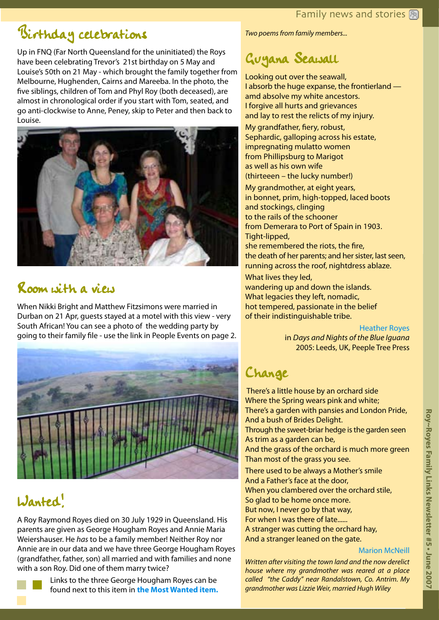## <span id="page-2-0"></span>Birthday celebrations

Up in FNQ (Far North Queensland for the uninitiated) the Roys have been celebrating Trevor's 21st birthday on 5 May and Louise's 50th on 21 May - which brought the family together from Melbourne, Hughenden, Cairns and Mareeba. In the photo, the five siblings, children of Tom and Phyl Roy (both deceased), are almost in chronological order if you start with Tom, seated, and go anti-clockwise to Anne, Peney, skip to Peter and then back to Louise.



## Room with a view

When Nikki Bright and Matthew Fitzsimons were married in Durban on 21 Apr, guests stayed at a motel with this view - very South African! You can see a photo of the wedding party by going to their family file - use the link in People Events on page 2.



## Wanted!

A Roy Raymond Royes died on 30 July 1929 in Queensland. His parents are given as George Hougham Royes and Annie Maria Weiershauser. He *has* to be a family member! Neither Roy nor Annie are in our data and we have three George Hougham Royes (grandfather, father, son) all married and with families and none with a son Roy. Did one of them marry twice?



Links to the three George Hougham Royes can be found next to this item in **[the Most Wanted item](http://royroyes.net/genealogy/showmedia.php?mediaID=674).** *Two poems from family members...*

## Guyana Seawall

Looking out over the seawall, I absorb the huge expanse, the frontierland amd absolve my white ancestors. I forgive all hurts and grievances and lay to rest the relicts of my injury.

My grandfather, fiery, robust, Sephardic, galloping across his estate, impregnating mulatto women from Phillipsburg to Marigot as well as his own wife (thirteeen – the lucky number!) My grandmother, at eight years, in bonnet, prim, high-topped, laced boots and stockings, clinging to the rails of the schooner from Demerara to Port of Spain in 1903. Tight-lipped,

she remembered the riots, the fire, the death of her parents; and her sister, last seen, running across the roof, nightdress ablaze.

What lives they led, wandering up and down the islands. What legacies they left, nomadic,

hot tempered, passionate in the belief of their indistinguishable tribe.

### [Heather Royes](http://royroyes.net/genealogy/getperson.php?personID=I7408&tree=rr_tree)

in *Days and Nights of the Blue Iguana* 2005: Leeds, UK, Peeple Tree Press

## Change

There's a little house by an orchard side Where the Spring wears pink and white; There's a garden with pansies and London Pride, And a bush of Brides Delight. Through the sweet-briar hedge is the garden seen As trim as a garden can be, And the grass of the orchard is much more green Than most of the grass you see. There used to be always a Mother's smile

And a Father's face at the door, When you clambered over the orchard stile, So glad to be home once more. But now, I never go by that way, For when I was there of late...... A stranger was cutting the orchard hay, And a stranger leaned on the gate.

### [Marion McNeill](http://royroyes.net/genealogy/getperson.php?personID=I5221&tree=rr_tree)

*Written after visiting the town land and the now derelict house where my grandmother was reared at a place called "the Caddy" near Randalstown, Co. Antrim. My grandmother was Lizzie Weir, married Hugh Wiley*